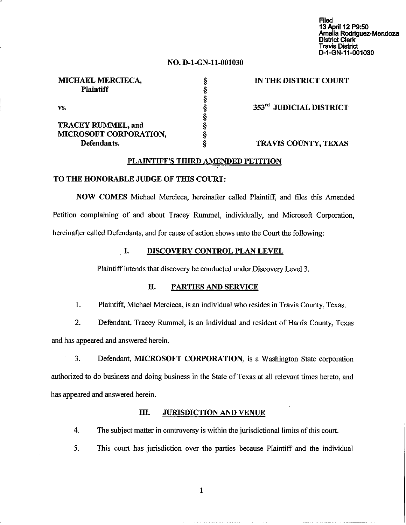Filed 13April 12 P9:50 Amalia Rodriguez-Mendoza<br>District Clerk Travis District ~1~N-11-o01030

### NO. D-I-GN-ll-OOI030

§ § § § § § § §

| <b>MICHAEL MERCIECA,</b><br><b>Plaintiff</b> |  |
|----------------------------------------------|--|
| VS.                                          |  |
| <b>TRACEY RUMMEL, and</b>                    |  |

MICROSOFT CORPORATION,

Defendants.

IN THE DISTRICT COURT

353rd JUDICIAL DISTRICT

### TRAVIS COUNTY, TEXAS

#### PLAINTIFF'S THIRD AMENDED PETITION

#### TO THE HONORABLE JUDGE OF THIS COURT:

NOW COMES Michael Mercieca, hereinafter called Plaintiff, and files this Amended Petition complaining of and about Tracey Rummel, individually, and Microsoft Corporation, hereinafter called Defendants, and for cause of action shows unto the Court the following:

#### I. DISCOVERY CONTROL PLAN LEVEL

Plaintiff intends that discovery be conducted under Discovery Level 3.

### II. PARTIES AND SERVICE

1. Plaintiff, Michael Mercieca, is an individual who resides in Travis County, Texas.

2. Defendant, Tracey Rummel, is an individual and resident of Harris County, Texas and has appeared and answered herein.

3. Defendant, MICROSOFT CORPORATION, is a Washington State corporation authorized to do business and doing business in the State of Texas at all relevant times hereto, and has appeared and answered herein.

## III. JURISDICTION AND VENUE

4. The subject matter in controversy is within the jurisdictional limits of this court.

5. This court has jurisdiction over the parties because Plaintiff and the individual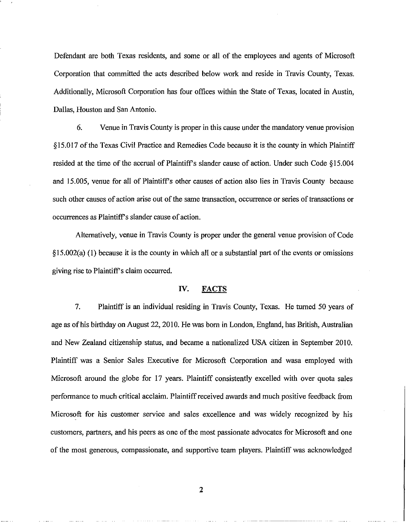Defendant are both Texas residents, and some or all of the employees and agents of Microsoft Corporation that committed the acts described below work and reside in Travis County, Texas. Additionally, Microsoft Corporation has four offices within the State of Texas, located in Austin, Dallas, Houston and San Antonio.

6. Venue in Travis County is proper in this cause under the mandatory venue provision §15.017 ofthe Texas Civil Practice and Remedies Code because it is the county in which Plaintiff resided at the time of the accrual of Plaintiff's slander cause of action. Under such Code  $\S 15.004$ and 15.005, venue for all of Plaintiff's other causes of action also lies in Travis County because such other causes of action arise out of the same transaction, occurrence or series of transactions or occurrences as Plaintiff's slander cause of action.

Alternatively, venue in Travis County is proper under the general venue provision of Code  $§15.002(a)$  (1) because it is the county in which all or a substantial part of the events or omissions giving rise to Plaintiff's claim occurred.

### IV. FACTS

7. Plaintiff is an individual residing in Travis County, Texas. He turned 50 years of age as of his birthday on August 22, 2010. He was born in London, England, has British, Australian and New Zealand citizenship status, and became a nationalized USA citizen in September 2010. Plaintiff was a Senior Sales Executive for Microsoft Corporation and wasa employed with Microsoft around the globe for 17 years. Plaintiff consistently excelled with over quota sales performance to much critical acclaim. Plaintiffreceived awards and much positive feedback from Microsoft for his customer service and sales excellence and was widely recognized by his customers, partners, and his peers as one of the most passionate advocates for Microsoft and one of the most generous, compassionate, and supportive team players. Plaintiff was acknowledged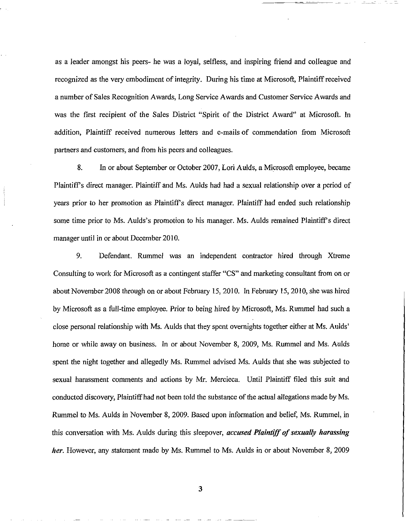as a leader amongst his peers- he was a loyal, selfless, and inspiring friend and colleague and recognized as the very embodiment of integrity. During his time at Microsoft, Plaintiffreceived a number of Sales Recognition Awards, Long Service Awards and Customer Service Awards and was the first recipient of the Sales District "Spirit of the District Award" at Microsoft. In addition, Plaintiff received numerous letters and e-mails of commendation from Microsoft partners and customers, and from his peers and colleagues.

8. In or about September or October 2007, Lori Aulds, a Microsoft employee, became Plaintiff's direct manager. Plaintiff and Ms. Aulds had had a sexual relationship over a period of years prior to her promotion as Plaintiff's direct manager. Plaintiff had ended such relationship some time prior to Ms. Aulds's promotion to his manager. Ms. Aulds remained Plaintiff's direct manager until in or about December 2010.

9. Defendant. Rummel was an independent contractor hired through Xtreme Consulting to work for Microsoft as a contingent staffer "CS" and marketing consultant from on or about November 2008 through on or about February 15,2010. In February 15,2010, she was hired by Microsoft as a full-time employee. Prior to being hired by Microsoft, Ms. Rummel had such a close personal relationship with Ms. Aulds that they spent overnights together either at Ms. Aulds' home or while away on business. In or about November 8, 2009, Ms. Rummel and Ms. Aulds spent the night together and allegedly Ms. Rummel advised Ms. Aulds that she was subjected to sexual harassment comments and actions by Mr. Mercieca. Until Plaintiff filed this suit and conducted discovery, Plaintiff had not been told the substance of the actual allegations made by Ms. Rummel to Ms. Aulds in November 8, 2009. Based upon information and belief, Ms. Rummel, in this conversation with Ms. Aulds during this sleepover, *accused Plaintiff of sexually harassing her.* However, any statement made by Ms. Rummel to Ms. Aulds in or about November 8, 2009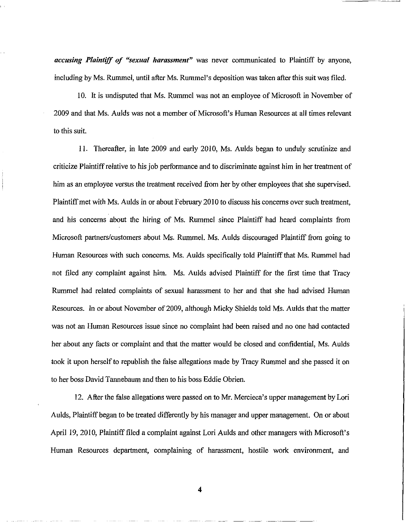*accusing Plaintiff of "sexual harassment" was* never communicated to Plaintiff by anyone, including by Ms. Rummel, until after Ms. Rummel's deposition *was* taken after this suit was filed.

10. It is undisputed that Ms. Rummel was not an employee of Microsoft in November of 2009 and that Ms. Aulds was not a member of Microsoft's Human Resources at all times relevant to this suit.

II. Thereafter, in late 2009 and early 2010, Ms. Aulds began to unduly scrutinize and criticize Plaintiffrelative to his job performance and to discriminate against him in her treatment of him as an employee versus the treatment received from her by other employees that she supervised. Plaintiffmet with Ms. Aulds in or about February 20I0 to discuss his concerns over such treatment, and his concerns about the hiring of Ms. Rummel since Plaintiff had heard complaints from Microsoft partners/customers about Ms. Rummel. Ms. Aulds discouraged Plaintiff from going to Human Resources with such concerns. Ms. Aulds specifically told Plaintiff that Ms. Rummel had not filed any complaint against him. Ms. Aulds advised Plaintiff for the first time that Tracy Rummel had related complaints of sexual harassment to her and that she had advised Human Resources. In or about November of 2009, although Micky Shields told Ms. Aulds that the matter was not an Human Resources issue since no complaint had been raised and no one had contacted her about any facts or complaint and that the matter would be closed and confidential, Ms. Aulds took it upon herself to republish the false allegations made by Tracy Rummel and she passed it on to her boss David Tannebaum and then to his boss Eddie Obrien.

12. After the false allegations were passed on to Mr. Mercieca's upper management by Lori Aulds, Plaintiff began to be treated differently by his manager and upper management. On or about April 19,2010, Plaintifffiled a complaint against Lori Aulds and other managers with Microsoft's Human Resources department, complaining of harassment, hostile work environment, and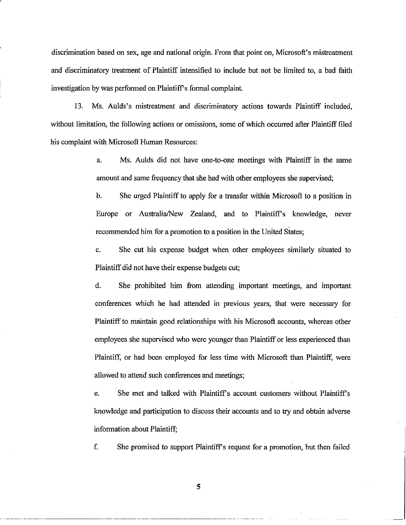discrimination based on sex, age and national origin. From that point on, Microsoft's mistreatment and discriminatory treatment of Plaintiff intensified to include but not be limited to, a bad faith investigation by was performed on Plaintiff's formal complaint.

13. Ms. Aulds's mistreatment and discriminatory actions towards Plaintiff included, without limitation, the following actions or omissions, some of which occurred after Plaintiff filed his complaint with Microsoft Human Resources:

> a. Ms. Aulds did not have one-to-one meetings with Plaintiff in the same amount and same frequency that she had with other employees she supervised;

> b. She urged Plaintiff to apply for a transfer within Microsoft to a position in Europe or Australia/New Zealand, and to Plaintiff's knowledge, never recommended him for a promotion to a position in the United States;

> c. She cut his expense budget when other employees similarly situated to Plaintiff did not have their expense budgets cut;

> d. She prohibited him from attending important meetings, and important conferences which he had attended in previous years, that were necessary for Plaintiff to maintain good relationships with his Microsoft accounts, whereas other employees she supervised who were younger than Plaintiff or less experienced than Plaintiff, or had been employed for less time with Microsoft than Plaintiff, were allowed to attend such conferences and meetings;

> e. She met and talked with Plaintiff's account customers without Plaintiff's knowledge and participation to discuss their accounts and to try and obtain adverse information about Plaintiff;

> £ She promised to support Plaintiff's request for a promotion, but then failed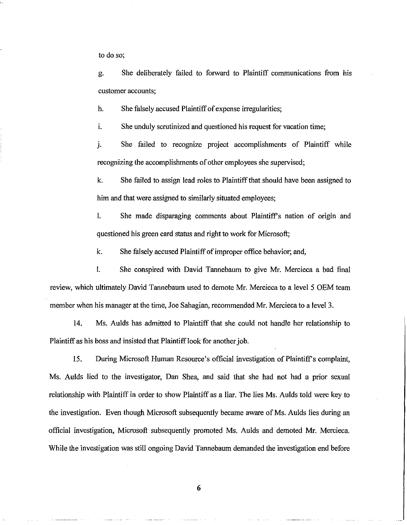to do so;

g. She deliberately failed to forward to Plaintiff communications from his customer accounts;

h. She falsely accused Plaintiff of expense irregularities;

i. She unduly scrutinized and questioned his request for vacation time;

j. She failed to recognize project accomplishments of Plaintiff while recognizing the accomplishments of other employees she supervised;

k. She failed to assign lead roles to Plaintiffthat should have been assigned to him and that were assigned to similarly situated employees;

I. She made disparaging comments about Plaintiff's nation of origin and questioned his green card status and right to work for Microsoft;

k. She falsely accused Plaintiff of improper office behavior; and,

I. She conspired with David Tannebaum to give Mr. Mercieca a bad final review, which ultimately David Tannebaum used to demote Mr. Mercieca to a level 5 OEM team member when his manager at the time, Joe Sahagian, recommended Mr. Mercieca to a level 3.

14. Ms. Aulds has admitted to Plaintiff that she could not handle her relationship to Plaintiff as his boss and insisted that Plaintiff look for another job.

15. During Microsoft Human Resource's official investigation of Plaintiff's complaint, Ms. Aulds lied to the investigator, Dan Shea, and said that she had not had a prior sexual relationship with Plaintiff in order to show Plaintiff as a liar. The lies Ms. Aulds told were key to the investigation. Even though Microsoft subsequently became aware of Ms. Aulds lies during an official investigation, Microsoft subsequently promoted Ms. Aulds and demoted Mr. Mercieca. While the investigation was still ongoing David Tannebaum demanded the investigation end before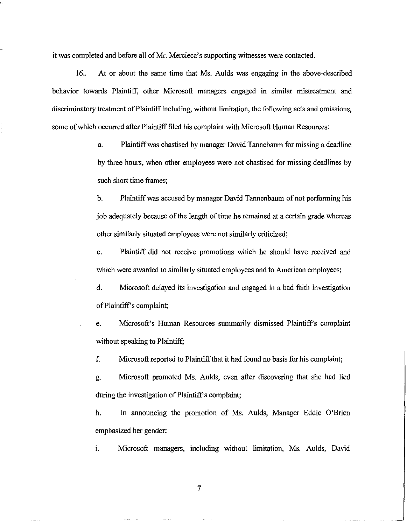it was completed and before all ofMr. Mercieca's supporting witnesses were contacted.

16.. At or about the same time that Ms. Aulds was engaging in the above-described behavior towards Plaintiff, other Microsoft managers engaged in similar mistreatment and discriminatory treatment of Plaintiff including, without limitation, the following acts and omissions, some of which occurred after Plaintiff filed his complaint with Microsoft Human Resources:

> a. Plaintiffwas chastised by manager David Tannebaum for missing a deadline by three hours, when other employees were not chastised for missing deadlines by such short time frames;

> b. Plaintiffwas accused by manager David Tannenbaum of not performing his job adequately because of the length of time he remained at a certain grade whereas other similarly situated employees were not similarly criticized;

> c. Plaintiff did not receive promotions which he should have received and which were awarded to similarly situated employees and to American employees;

> d. Microsoft delayed its investigation and engaged in a bad faith investigation ofPlaintiff's complaint;

> e. Microsoft's Human Resources summarily dismissed Plaintiff's complaint without speaking to Plaintiff;

f. Microsoft reported to Plaintiffthat it had found no basis for his complaint;

g. Microsoft promoted Ms. Aulds, even after discovering that she had lied during the investigation of Plaintiff's complaint;

h. In announcing the promotion of Ms. Aulds, Manager Eddie O'Brien emphasized her gender;

i. Microsoft managers, including without limitation, Ms. Aulds, David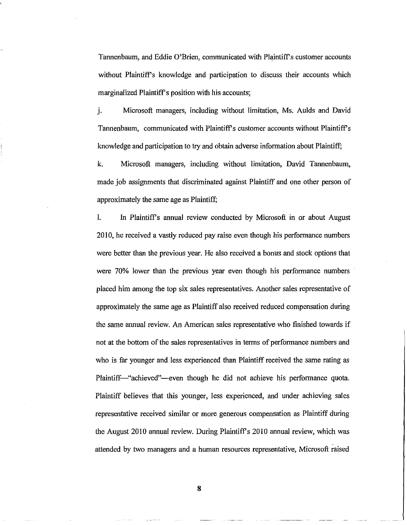Tannenbaum, and Eddie O'Brien, communicated with Plaintiff's customer accounts without Plaintiff's knowledge and participation to discuss their accounts which marginalized Plaintiff's position with his accounts;

j. Microsoft managers, including without limitation, Ms. Aulds and David Tannenbaum, communicated with Plaintiff's customer accounts without Plaintiff's knowledge and participation to try and obtain adverse information about Plaintiff;

k. Microsoft managers, including without limitation, David Tannenbaum, made job assignments that discriminated against Plaintiff and one other person of approximately the same age as Plaintiff;

1. In Plaintiff's annual review conducted by Microsoft **in** or about August 20 I0, he received a vastly reduced pay raise even though his performance numbers were better than the previous year. He also received a bonus and stock options that were 70% lower than the previous year even though his performance numbers placed him among the top six sales representatives. Another sales representative of approximately the same age as Plaintiff also received reduced compensation during the same annual review. An American sales representative who finished towards if not at the bottom of the sales representatives in terms of performance numbers and who is far younger and less experienced than Plaintiff received the same rating as Plaintiff-"achieved"--even though he did not achieve his performance quota. Plaintiff believes that this younger, less experienced, and under achieving sales representative received similar or more generous compensation as Plaintiff during the August 2010 annual review. During Plaintiff's 2010 annual review, which was attended by two managers and a human resources representative, Microsoft raised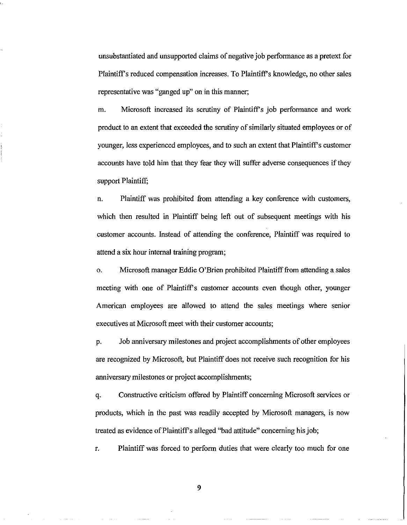unsubstantiated and unsupported claims of negative job performance as a pretext for Plaintiff's reduced compensation increases. To Plaintiff's knowledge, no other sales representative was "ganged up" on in this manner;

m. Microsoft increased its scrutiny of Plaintiff's job performance and work product to an extent that exceeded the scrutiny of similarly situated employees or of younger, less experienced employees, and to such an extent that Plaintiffs customer accounts have told him that they fear they will suffer adverse consequences if they support Plaintiff;

n. Plaintiff was prohibited from attending a key conference with customers, which then resulted in Plaintiff being left out of subsequent meetings with his customer accounts. Instead of attending the conference, Plaintiff was required to attend a six hour internal training program;

o. Microsoft manager Eddie O'Brien prohibited Plaintiff from attending a sales meeting with one of Plaintiff's customer accounts even though other, younger American employees are allowed to attend the sales meetings where senior executives at Microsoft meet with their customer accounts;

p. Job anniversary milestones and project accomplishments of other employees are recognized by Microsoft, but Plaintiff does not receive such recognition for his anniversary milestones or project accomplishments;

q. Constructive criticism offered by Plaintiff concerning Microsoft services or products, which in the past was readily accepted by Microsoft managers, is now treated as evidence of Plaintiff's alleged "bad attitude" concerning his job;

r. Plaintiff was forced to perform duties that were clearly too much for one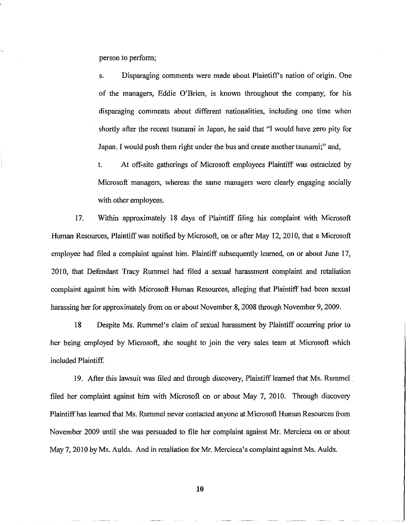person to perform;

s. Disparaging comments were made about Plaintiff's nation of origin. One of the managers, Eddie O'Brien, is known throughout the company, for his disparaging comments about different nationalities, including one time when shortly after the recent tsunami in Japan, he said that "I would have zero pity for Japan. I would push them right under the bus and create another tsunami;" and,

t. At off-site gatherings of Microsoft employees Plaintiff was ostracized by Microsoft managers, whereas the same managers were clearly engaging socially with other employees.

17. Within approximately 18 days of Plaintiff filing his complaint with Microsoft Human Resources, Plaintiff was notified by Microsoft, on or after May 12, 2010, that a Microsoft employee had filed a complaint against him. Plaintiff subsequently learned, on or about June 17, 20I0, that Defendant Tracy Rummel had filed a sexual harassment complaint and retaliation complaint against him with Microsoft Human Resources, alleging that Plaintiff had been sexual harassing her for approximately from on or about November 8, 2008 through November 9, 2009.

18 Despite Ms. Rummel's claim of sexual harassment by Plaintiff occurring prior to her being employed by Microsoft, she sought to join the very sales team at Microsoft which included Plaintiff.

19. After this lawsuit was filed and through discovery, Plaintiff learned that Ms. Rummel. filed her complaint against him with Microsoft on or about May 7, 2010. Through discovery Plaintiffhas learned that Ms. Rummel never contacted anyone at Microsoft Human Resources from November 2009 until she was persuaded to file her complaint against Mr. Mercieca on or about May 7, 2010 by Ms. Aulds. And in retaliation for Mr. Mercieca's complaint against Ms. Aulds.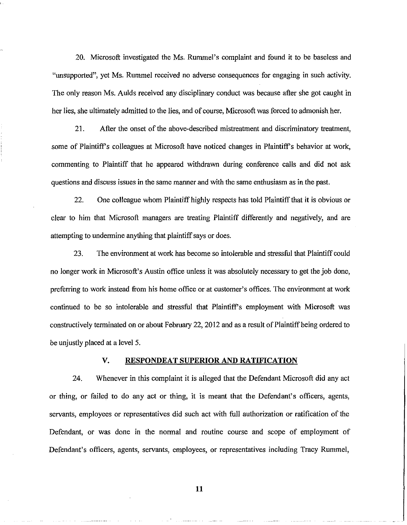20. Microsoft investigated the Ms. Rummel's complaint and found it to be baseless and "unsupported", yet Ms. Rummel received no adverse consequences for engaging in such activity. The only reason Ms. Aulds received any disciplinary conduct was because after she got caught in her lies, she ultimately admitted to the lies, and of course, Microsoft was forced to admonish her.

21. After the onset of the above-described mistreatment and discriminatory treatment, some of Plaintiff's colleagues at Microsoft have noticed changes in Plaintiff's behavior at work, commenting to Plaintiff that he appeared withdrawn during conference calls and did not ask questions and discuss issues in the same manner and with the same enthusiasm as in the past.

22. One colleague whom Plaintiff highly respects has told Plaintiffthat it is obvious or clear to him that Microsoft managers are treating Plaintiff differently and negatively, and are attempting to undermine anything that plaintiff says or does.

23. The environment at work has become so intolerable and stressful that Plaintiff could no longer work in Microsoft's Austin office unless it was absolutely necessary to get the job done, preferring to work instead from his home office or at customer's offices. The environment at work continued to be so intolerable and stressful that Plaintiff's employment with Microsoft was constructively terminated on or about February 22, 2012 and as a result of Plaintiff being ordered to be unjustly placed at a level 5.

#### **v. RESPONDEAT SUPERIOR AND RATIFICATION**

24. Whenever in this complaint it is alleged that the Defendant Microsoft did any act or thing, or failed to do any act or thing, it is meant that the Defendant's officers, agents, servants, employees or representatives did such act with full authorization or ratification of the Defendant, or was done in the normal and routine course and scope of employment of Defendant's officers, agents, servants, employees, or representatives including Tracy Rummel,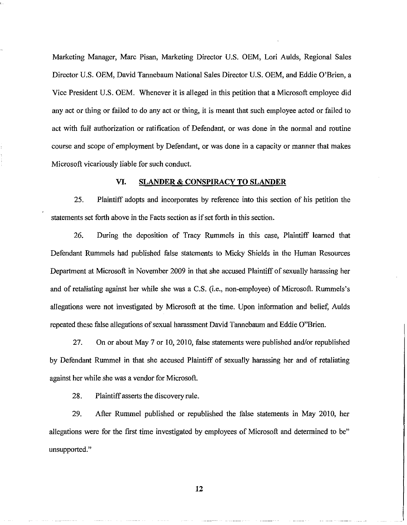Marketing Manager, Marc Pisan, Marketing Director U.S. OEM, Lori Aulds, Regional Sales Director U.S. OEM, David Tannebaum National Sales Director U.S. OEM, and Eddie O'Brien, a Vice President U.S. OEM. Whenever it is alleged in this petition that a Microsoft employee did any act or thing or failed to do any act or thing, it is meant that such employee acted or failed to act with full authorization or ratification of Defendant, or was done in the normal and routine course and scope of employment by Defendant, or was done in a capacity or manner that makes Microsoft vicariously liable for such conduct.

### VI. SLANDER & CONSPIRACY TO SLANDER

25. Plaintiff adopts and incorporates by reference into this section of his petition the statements set forth above in the Facts section as if set forth in this section.

26. During the deposition of Tracy Rummels in this case, Plaintiff learned that Defendant Rummels had published false statements to Micky Shields in the Human Resources Department at Microsoft in November 2009 in that she accused Plaintiff of sexually harassing her and of retaliating against her while she was a C.S. (i.e., non-employee) of Microsoft. Rummels's allegations were not investigated by Microsoft at the time. Upon information and belief, Aulds repeated these false allegations of sexual harassment David Tannebaum and Eddie O"Brien.

27. On or about May 7 or 10,2010, false statements were published and/or republished by Defendant Rummel in that she accused Plaintiff of sexually harassing her and of retaliating against her while she was a vendor for Microsoft.

28. Plaintiff asserts the discovery rule.

29. After Rummel published or republished the false statements in May 2010, her allegations were for the first time investigated by employees of Microsoft and determined to be" unsupported."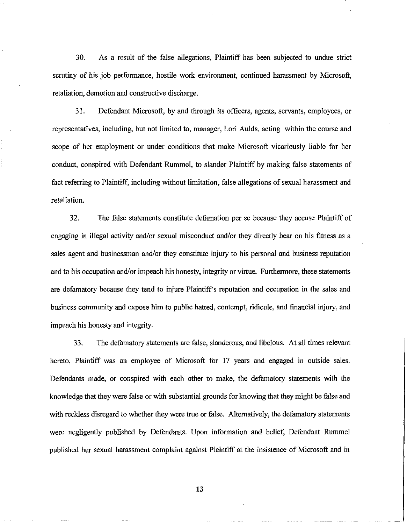30. As a result of the false allegations, Plaintiff has been subjected to undue strict scrutiny of his job performance, hostile work environment, continued harassment by Microsoft, retaliation, demotion and constructive discharge.

31. Defendant Microsoft, by and through its officers, agents, servants, employees, or representatives, including, but not limited to, manager, Lori Aulds, acting within the course and scope of her employment or under conditions that make Microsoft vicariously liable for her conduct, conspired with Defendant Rummel, to slander Plaintiff by making false statements of fact referring to Plaintiff, including without limitation, false allegations of sexual harassment and retaliation.

32. The false statements constitute defamation per se because they accuse Plaintiff of engaging in illegal activity and/or sexual misconduct and/or they directly bear on his fitness as a sales agent and businessman and/or they constitute injury to his personal and business reputation and to his occupation and/or impeach his honesty, integrity or virtue. Furthennore, these statements are defamatory because they tend to injure Plaintiff's reputation and occupation in the sales and business community and expose him to public hatred, contempt, ridicule, and financial injury, and impeach his honesty and integrity.

33. The defamatory statements are false, slanderous, and libelous. At all times relevant hereto, Plaintiff was an employee of Microsoft for 17 years and engaged in outside sales. Defendants made, or conspired with each other to make, the defamatory statements with the knowledge that they were false or with substantial grounds for knowing that they might be false and with reckless disregard to whether they were true or false. Alternatively, the defamatory statements were negligently published by Defendants. Upon infonnation and belief, Defendant Rummel published her sexual harassment complaint against Plaintiff at the insistence of Microsoft and in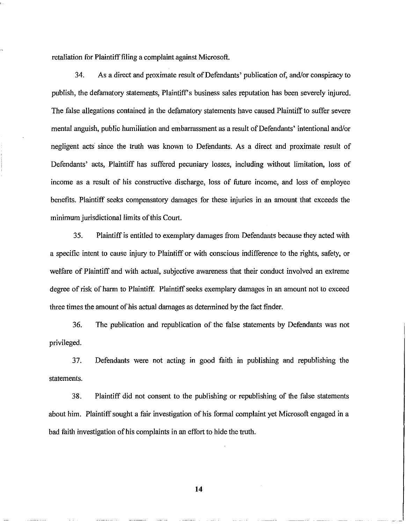retaliation for Plaintifffiling a complaint against Microsoft.

34. As a direct and proximate result of Defendants' publication of, and/or conspiracy to publish, the defamatory statements, Plaintiff's business sales reputation has been severely injured. The false allegations contained in the defamatory statements have caused Plaintiff to suffer severe mental anguish, public humiliation and embarrassment as a result of Defendants' intentional and/or negligent acts since the truth was known to Defendants. As a direct and proximate result of Defendants' acts, Plaintiff has suffered pecuniary losses, including without limitation, loss of income as a result of his constructive discharge, loss of future income, and loss of employee benefits. Plaintiff seeks compensatory damages for these injuries in an amount that exceeds the minimum jurisdictional limits of this Court.

35. Plaintiffis entitled to exemplary damages from Defendants because they acted with a specific intent to cause injury to Plaintiff or with conscious indifference to the rights, safety, or welfare of Plaintiff and with actual, subjective awareness that their conduct involved an extreme degree of risk of harm to Plaintiff. Plaintiff seeks exemplary damages in an amount not to exceed three times the amount of his actual damages as determined by the fact finder.

36. The publication and republication of the false statements by Defendants was not privileged.

37. Defendants were not acting in good faith in publishing and republishing the statements.

38. Plaintiff did not consent to the publishing or republishing of the false statements about him. Plaintiff sought a fair investigation of his formal complaint yet Microsoft engaged in a bad faith investigation of his complaints in an effort to hide the truth.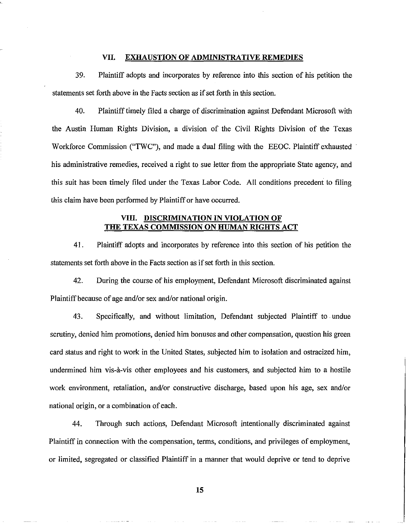## VII. EXHAUSTION OF ADMINISTRATIVE REMEDIES

39. Plaintiff adopts and incorporates by reference into this section of his petition the statements set forth above in the Facts section as if set forth in this section.

40. Plaintifftimely filed a charge of discrimination against Defendant Microsoft with the Austin Human Rights Division, a division of the Civil Rights Division of the Texas Workforce Commission ("TWC"), and made a dual filing with the EEOC. Plaintiff exhausted his administrative remedies, received a right to sue letter from the appropriate State agency, and this suit has been timely filed under the Texas Labor Code. All conditions precedent to filing this claim have been performed by Plaintiff or have occurred.

## VIII. DISCRIMINATION IN VIOLATION OF THE TEXAS COMMISSION ON HUMAN RIGHTS ACT

41. Plaintiff adopts and incorporates by reference into this section of his petition the statements set forth above in the Facts section as if set forth in this section.

42. During the course of his employment, Defendant Microsoft discriminated against Plaintiff because of age and/or sex and/or national origin.

43. Specifically, and without limitation, Defendant subjected Plaintiff to .undue scrutiny, denied him promotions, denied him bonuses and other compensation, question his green card status and right to work in the United States, subjected him to isolation and ostracized him, undermined him vis-à-vis other employees and his customers, and subjected him to a hostile work environment, retaliation, and/or constructive discharge, based upon his age, sex and/or national origin, or a combination of each.

44. Through such actions, Defendant Microsoft intentionally discriminated against Plaintiff in connection with the compensation, terms, conditions, and privileges of employment, or limited, segregated or classified Plaintiff in a manner that would deprive or tend to deprive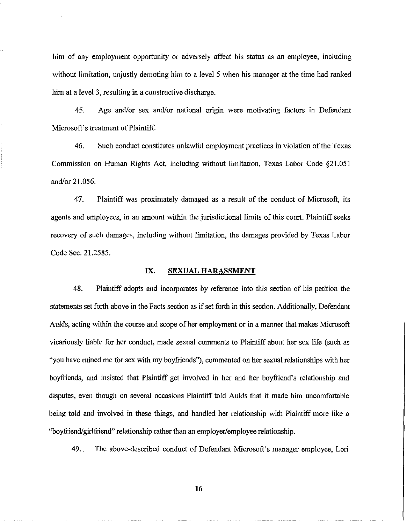him of any employment opportunity or adversely affect his status as an employee, including without limitation, unjustly demoting him to a level 5 when his manager at the time had ranked him at a level 3, resulting in a constructive discharge.

45. Age and/or sex and/or national origin were motivating factors in Defendant Microsoft's treatment of Plaintiff.

46. Such conduct constitutes unlawful employment practices in violation ofthe Texas Commission on Human Rights Act, including without limitation, Texas Labor Code §21.051 and/or 21.056.

47. Plaintiff was proximately damaged as a result of the conduct of Microsoft, its agents and employees, in an amount within the jurisdictional limits of this court. Plaintiff seeks recovery of such damages, including without limitation, the damages provided by Texas Labor Code Sec. 21.2585.

## IX. SEXUAL HARASSMENT

48. Plaintiff adopts and incorporates by reference into this section of his petition the statements set forth above in the Facts section as if set forth in this section. Additionally, Defendant Aulds, acting within the course and scope of her employment or in a manner that makes Microsoft vicariously liable for her conduct, made sexual comments to Plaintiff about her sex life (such as "you have ruined me for sex with my boyfriends"), commented on her sexual relationships with her boyfriends, and insisted that Plaintiff get involved in her and her boyfriend's relationship and disputes, even though on several occasions Plaintiff told Aulds that it made him uncomfortable being told and involved in these things, and handled her relationship with Plaintiff more like a "boyfriend/girlfriend" relationship rather than an employer/employee relationship.

49. The above-described conduct of Defendant Microsoft's manager employee, Lori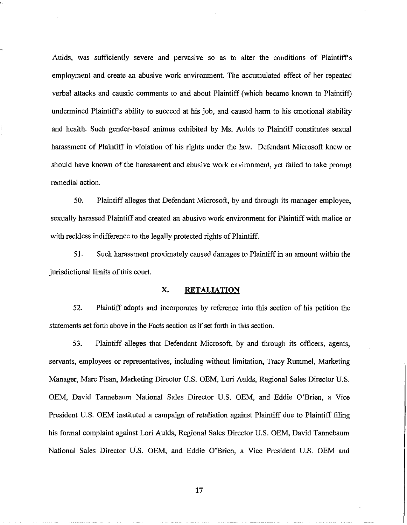Aulds, was sufficiently severe and pervasive so as to alter the conditions of Plaintiffs employment and create an abusive work environment. The accumulated effect of her repeated verbal attacks and caustic comments to and about Plaintiff (which became known to Plaintiff) undermined Plaintiffs ability to succeed at his job, and caused harm to his emotional stability and health. Such gender-based animus exhibited by Ms. Aulds to Plaintiff constitutes sexual harassment of Plaintiff in violation of his rights under the law. Defendant Microsoft knew or should have known of the harassment and abusive work environment, yet failed to take prompt remedial action.

50. Plaintiff alleges that Defendant Microsoft, by and through its manager employee, sexually harassed Plaintiff and created an abusive work environment for Plaintiff with malice or with reckless indifference to the legally protected rights of Plaintiff.

5I. Such harassment proximately caused damages to Plaintiffin an amount within the jurisdictional limits of this court.

## **x. RETALIATION**

52. Plaintiff adopts and incorporates by reference into this section of his petition the statements set forth above in the Facts section as if set forth in this section.

53. Plaintiff alleges that Defendant Microsoft, by and through its officers, agents, servants, employees or representatives, including without limitation, Tracy Rummel, Marketing Manager, Marc Pisan, Marketing Director U.S. OEM, Lori Aulds, Regional Sales Director U.S. OEM, David Tannebaum National Sales Director U.S. OEM, and Eddie O'Brien, a Vice President U.S. OEM instituted a campaign of retaliation against Plaintiff due to Plaintiff filing his formal complaint against Lori Aulds, Regional Sales Director U.S. OEM, David Tannebaum National Sales Director U.S. OEM, and Eddie O'Brien, a Vice President U.S. OEM and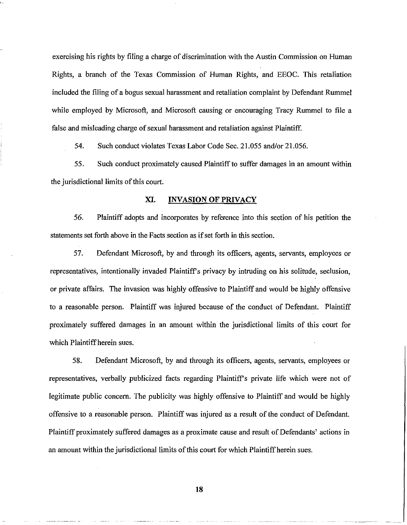exercising his rights by filing a charge of discrimination with the Austin Commission on Human Rights, a branch of the Texas Commission of Human Rights, and EEOC. This retaliation included the filing of a bogus sexual harassment and retaliation complaint by Defendant Rummel while employed by Microsoft, and Microsoft causing or encouraging Tracy Rummel to file a false and misleading charge of sexual harassment and retaliation against Plaintiff.

54. Such conduct violates Texas Labor Code Sec. 21.055 andlor 21.056.

55. Such conduct proximately caused Plaintiffto suffer damages in an amount within the jurisdictional limits of this court.

### XI. INVASION OF PRIVACY

56. Plaintiff adopts and incorporates by reference into this section of his petition the statements set forth above in the Facts section as if set forth in this section.

57. Defendant Microsoft, by and through its officers, agents, servants, employees or representatives, intentionally invaded Plaintiff's privacy by intruding on his solitude, seclusion, or private affairs. The invasion was highly offensive to Plaintiff and would be highly offensive to a reasonable person. Plaintiff was injured because of the conduct of Defendant. Plaintiff proximately suffered damages in an amount within the jurisdictional limits of this court for which Plaintiff herein sues.

58. Defendant Microsoft, by and through its officers, agents, servants, employees or representatives, verbally publicized facts regarding Plaintiffs private life which were not of legitimate public concern. The publicity was highly offensive to Plaintiff and would be highly offensive to a reasonable person. Plaintiff was injured as a result of the conduct of Defendant. Plaintiff proximately suffered damages as a proximate cause and result of Defendants' actions in an amount within the jurisdictional limits of this court for which Plaintiff herein sues.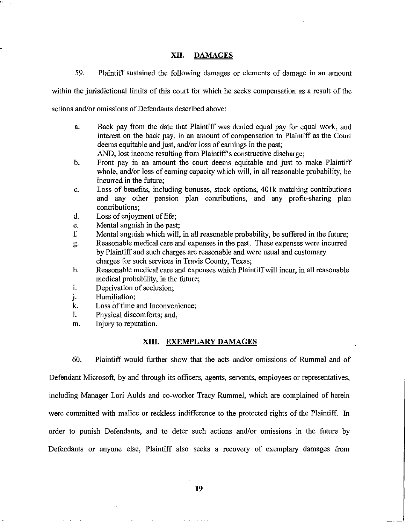### **XII. DAMAGES**

59. Plaintiff sustained the following damages or elements of damage in an amount

within the jurisdictional limits of this court for which he seeks compensation as a result of the

actions and/or omissions of Defendants described above:

a. Back pay from the date that Plaintiff was denied equal pay for equal work, and interest on the back pay, in an amount of compensation to Plaintiff as the Court deems equitable and just, and/or loss of earnings in the past;

AND, lost income resulting from Plaintiff's constructive discharge;

- b. Front pay in an amount the court deems equitable and just to make Plaintiff whole, and/or loss of earning capacity which will, in all reasonable probability, be incurred in the future;
- c. Loss of benefits, including bonuses, stock options, 40Ik matching contributions and any other pension plan contributions, and any profit-sharing plan contributions;
- d. Loss of enjoyment of life;
- e. Mental anguish in the past;
- f. Mental anguish which will, in all reasonable probability, be suffered in the future;
- g. Reasonable medical care and expenses in the past. These expenses were incurred by Plaintiff and such charges are reasonable and were usual and customary charges for such services in Travis County, Texas;
- h. Reasonable medical care and expenses which Plaintiffwill incur, in all reasonable medical probability, in the future;
- i. Deprivation of seclusion;
- j. Humiliation;
- k. Loss of time and Inconvenience;
- I. Physical discomforts; and,
- m. Injury to reputation.

#### **XIII. EXEMPLARY DAMAGES**

60. Plaintiff would further show that the acts and/or omissions of Rummel and of

Defendant Microsoft, by and through its officers, agents, servants, employees or representatives,

including Manager Lori Aulds and co-worker Tracy Rummel, which are complained of herein were committed with malice or reckless indifference to the protected rights of the Plaintiff. In

order to punish Defendants, and to deter such actions and/or omissions in the future by

Defendants or anyone else, Plaintiff also seeks a recovery of exemplary damages from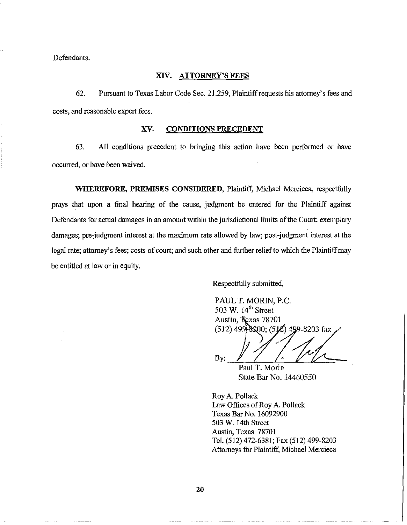Defendants.

### XIV. ATTORNEY'S FEES

62. Pursuant to Texas Labor Code Sec. 21.259, Plaintiffrequests his attorney's fees and costs, and reasonable expert fees.

### xv. CONDITIONS PRECEDENT

63. All conditions precedent to bringing this action have been perfonned or have occurred, or have been waived.

WHEREFORE, PREMISES CONSIDERED, Plaintiff, Michael Mercieca, respectfully prays that upon a final hearing of the cause, judgment be entered for the Plaintiff against Defendants for actual damages in an amount within the jurisdictional limits ofthe Court; exemplary damages; pre-judgment interest at the maximum rate allowed by law; post-judgment interest at the legal rate; attorney's fees; costs of court; and such other and further relief to which the Plaintiff may be entitled at law or in equity.

Respectfully submitted,

PAUL T. MORIN, P.C. 503 W. 14<sup>th</sup> Street Austin, Texas 78701  $(512)$  499-8200;  $(512)$  499-8203 fax

By: <u>// /<sup>2</sup> // / -</u>

Paul T. Morin State Bar No. 14460550

Roy A. Pollack Law Offices of Roy A. Pollack Texas Bar No. 16092900 503 W. 14th Street Austin, Texas 78701 Tel. (512) 472-6381; Fax (512) 499-8203 Attorneys for Plaintiff, Michael Mercieca